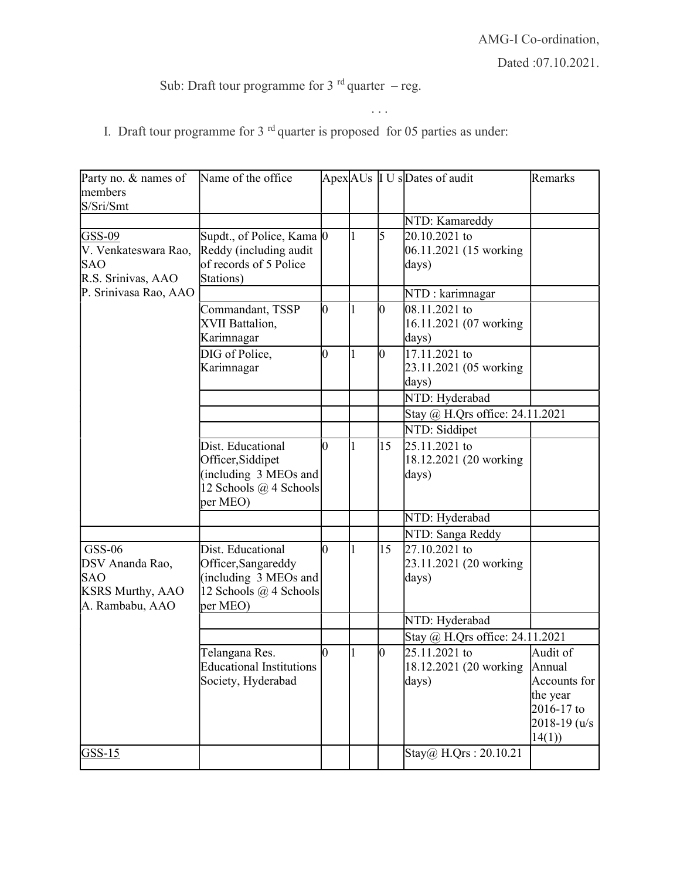## Sub: Draft tour programme for 3  $^{rd}$  quarter – reg.

I. Draft tour programme for  $3<sup>rd</sup>$  quarter is proposed for 05 parties as under:

. . .

| Party no. & names of<br>members                                                       | Name of the office                                                                                      |    |                |                 | Apex AUs I U sDates of audit                     | Remarks                                                                                    |
|---------------------------------------------------------------------------------------|---------------------------------------------------------------------------------------------------------|----|----------------|-----------------|--------------------------------------------------|--------------------------------------------------------------------------------------------|
| S/Sri/Smt                                                                             |                                                                                                         |    |                |                 |                                                  |                                                                                            |
|                                                                                       |                                                                                                         |    |                |                 | NTD: Kamareddy                                   |                                                                                            |
| GSS-09<br>V. Venkateswara Rao,<br><b>SAO</b><br>R.S. Srinivas, AAO                    | Supdt., of Police, Kama 0<br>Reddy (including audit<br>of records of 5 Police<br>Stations)              |    | 11             | l5              | 20.10.2021 to<br>06.11.2021 (15 working<br>days) |                                                                                            |
| P. Srinivasa Rao, AAO                                                                 |                                                                                                         |    |                |                 | NTD: karimnagar                                  |                                                                                            |
|                                                                                       | Commandant, TSSP<br>XVII Battalion,<br>Karimnagar                                                       | 10 | $\vert$ 1      | 10              | 08.11.2021 to<br>16.11.2021 (07 working<br>days) |                                                                                            |
|                                                                                       | DIG of Police,<br>Karimnagar                                                                            | Ю  |                | l0              | 17.11.2021 to<br>23.11.2021 (05 working<br>days) |                                                                                            |
|                                                                                       |                                                                                                         |    |                |                 | NTD: Hyderabad                                   |                                                                                            |
|                                                                                       |                                                                                                         |    |                |                 | Stay @ H.Qrs office: 24.11.2021                  |                                                                                            |
|                                                                                       |                                                                                                         |    |                |                 | NTD: Siddipet                                    |                                                                                            |
|                                                                                       | Dist. Educational<br>Officer, Siddipet<br>(including 3 MEOs and<br>12 Schools @ 4 Schools<br>per MEO)   | Ю  | $\vert$ 1      | 15              | 25.11.2021 to<br>18.12.2021 (20 working<br>days) |                                                                                            |
|                                                                                       |                                                                                                         |    |                |                 | NTD: Hyderabad                                   |                                                                                            |
|                                                                                       |                                                                                                         |    |                |                 | NTD: Sanga Reddy                                 |                                                                                            |
| GSS-06<br>DSV Ananda Rao,<br><b>SAO</b><br><b>KSRS Murthy, AAO</b><br>A. Rambabu, AAO | Dist. Educational<br>Officer, Sangareddy<br>(including 3 MEOs and<br>12 Schools @ 4 Schools<br>per MEO) | 10 | $\vert$ 1      | 15              | 27.10.2021 to<br>23.11.2021 (20 working<br>days) |                                                                                            |
|                                                                                       |                                                                                                         |    |                |                 | NTD: Hyderabad                                   |                                                                                            |
|                                                                                       |                                                                                                         |    |                |                 | Stay @ H.Qrs office: 24.11.2021                  |                                                                                            |
|                                                                                       | Telangana Res.<br><b>Educational Institutions</b><br>Society, Hyderabad                                 | 10 | $\overline{1}$ | $\vert 0 \vert$ | 25.11.2021 to<br>18.12.2021 (20 working<br>days) | Audit of<br>Annual<br>Accounts for<br>the year<br>2016-17 to<br>$2018 - 19$ (u/s)<br>14(1) |
| $GSS-15$                                                                              |                                                                                                         |    |                |                 | Stay@ H.Qrs: 20.10.21                            |                                                                                            |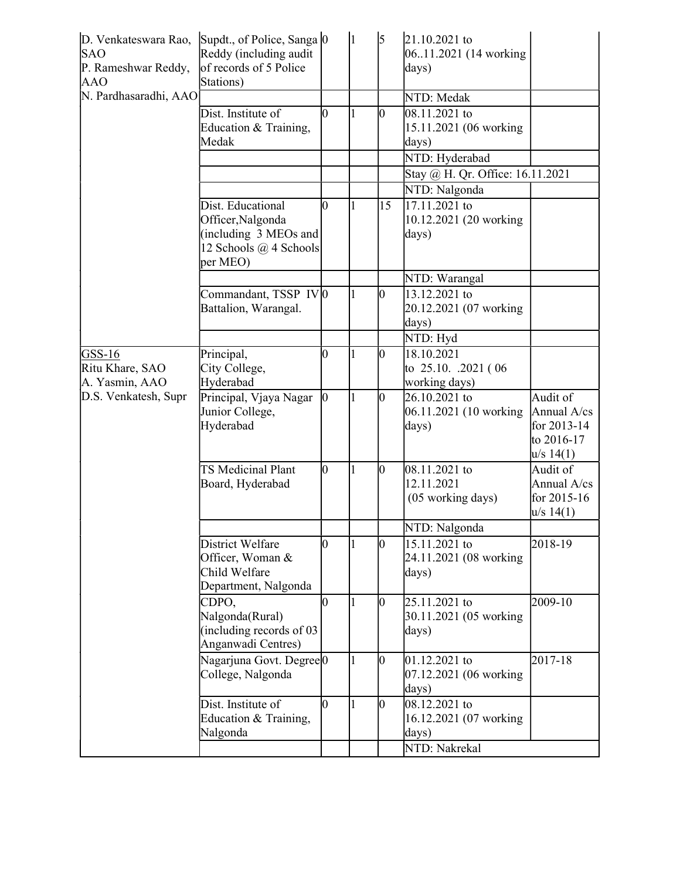| D. Venkateswara Rao,<br><b>SAO</b><br>P. Rameshwar Reddy,<br><b>AAO</b> | Supdt., of Police, Sanga 0<br>Reddy (including audit<br>of records of 5 Police<br>Stations)           |              | 1            | 5               | 21.10.2021 to<br>0611.2021 (14 working<br>days)     |                                                                   |
|-------------------------------------------------------------------------|-------------------------------------------------------------------------------------------------------|--------------|--------------|-----------------|-----------------------------------------------------|-------------------------------------------------------------------|
| N. Pardhasaradhi, AAO                                                   |                                                                                                       |              |              |                 | NTD: Medak                                          |                                                                   |
|                                                                         | Dist. Institute of<br>Education & Training,<br>Medak                                                  | N            |              | Ю               | 08.11.2021 to<br>15.11.2021 (06 working<br>days)    |                                                                   |
|                                                                         |                                                                                                       |              |              |                 | NTD: Hyderabad                                      |                                                                   |
|                                                                         |                                                                                                       |              |              |                 | Stay @ H. Qr. Office: 16.11.2021                    |                                                                   |
|                                                                         |                                                                                                       |              |              |                 | NTD: Nalgonda                                       |                                                                   |
|                                                                         | Dist. Educational<br>Officer, Nalgonda<br>(including 3 MEOs and<br>12 Schools @ 4 Schools<br>per MEO) | 10           |              | 15              | 17.11.2021 to<br>10.12.2021 (20 working<br>days)    |                                                                   |
|                                                                         |                                                                                                       |              |              |                 | NTD: Warangal                                       |                                                                   |
|                                                                         | Commandant, TSSP IVO<br>Battalion, Warangal.                                                          |              |              | 10              | 13.12.2021 to<br>20.12.2021 (07 working<br>days)    |                                                                   |
|                                                                         |                                                                                                       |              |              |                 | NTD: Hyd                                            |                                                                   |
| $GSS-16$<br>Ritu Khare, SAO<br>A. Yasmin, AAO<br>D.S. Venkatesh, Supr   | Principal,<br>City College,<br>Hyderabad                                                              | 0            |              | 10              | 18.10.2021<br>to 25.10. .2021 (06)<br>working days) |                                                                   |
|                                                                         | Principal, Vjaya Nagar<br>Junior College,<br>Hyderabad                                                | $\mathbf{0}$ |              | 10              | 26.10.2021 to<br>06.11.2021 (10 working<br>days)    | Audit of<br>Annual A/cs<br>for 2013-14<br>to 2016-17<br>u/s 14(1) |
|                                                                         | <b>TS Medicinal Plant</b><br>Board, Hyderabad                                                         | l0           | $\mathbf{1}$ | $\vert 0 \vert$ | 08.11.2021 to<br>12.11.2021<br>(05 working days)    | Audit of<br>Annual A/cs<br>for 2015-16<br>u/s 14(1)               |
|                                                                         |                                                                                                       |              |              |                 | NTD: Nalgonda                                       |                                                                   |
|                                                                         | District Welfare<br>Officer, Woman &<br>Child Welfare<br>Department, Nalgonda                         | lо           |              | 10              | 15.11.2021 to<br>24.11.2021 (08 working<br>days)    | 2018-19                                                           |
|                                                                         | CDPO,<br>Nalgonda(Rural)<br>(including records of $03$ )<br>Anganwadi Centres)                        | 10           |              | 10              | 25.11.2021 to<br>30.11.2021 (05 working<br>days)    | 2009-10                                                           |
|                                                                         | Nagarjuna Govt. Degree <sup>[0]</sup><br>College, Nalgonda                                            |              |              | 10              | 01.12.2021 to<br>07.12.2021 (06 working<br>days)    | 2017-18                                                           |
|                                                                         | Dist. Institute of<br>Education & Training,<br>Nalgonda                                               | l0           | 1            | 10              | 08.12.2021 to<br>16.12.2021 (07 working<br>days)    |                                                                   |
|                                                                         |                                                                                                       |              |              |                 | NTD: Nakrekal                                       |                                                                   |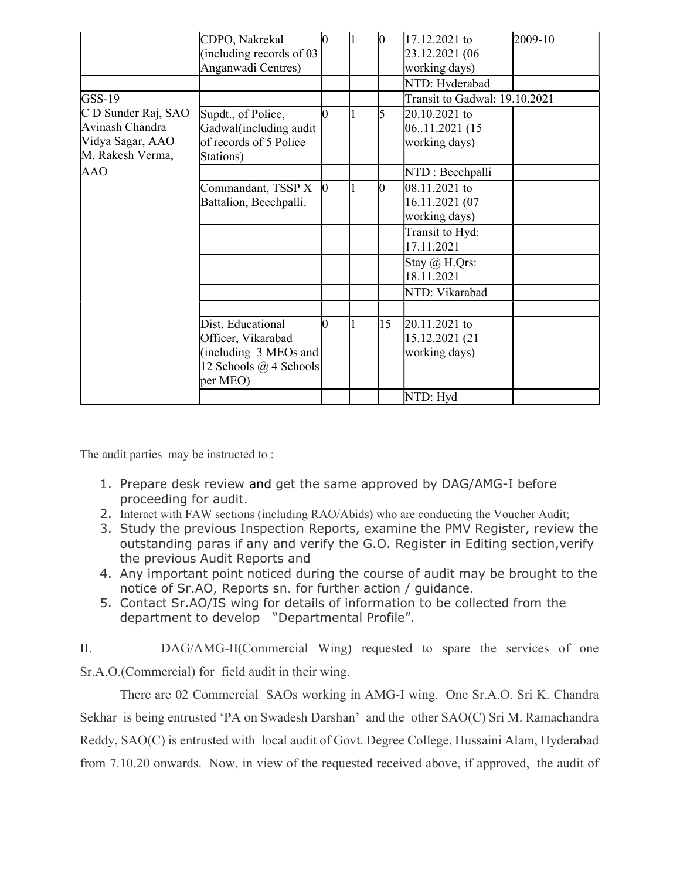|                                                                                | CDPO, Nakrekal<br>(including records of $03$ )<br>Anganwadi Centres)                                            |  | $\vert 0 \vert$ | 17.12.2021 to<br>23.12.2021 (06<br>working days)<br>NTD: Hyderabad | 2009-10 |
|--------------------------------------------------------------------------------|-----------------------------------------------------------------------------------------------------------------|--|-----------------|--------------------------------------------------------------------|---------|
| GSS-19                                                                         |                                                                                                                 |  |                 | Transit to Gadwal: 19.10.2021                                      |         |
| C D Sunder Raj, SAO<br>Avinash Chandra<br>Vidya Sagar, AAO<br>M. Rakesh Verma, | Supdt., of Police,<br>Gadwal(including audit<br>of records of 5 Police<br>Stations)                             |  | 5               | 20.10.2021 to<br>06.11.2021 (15<br>working days)                   |         |
| <b>AAO</b>                                                                     |                                                                                                                 |  |                 | NTD: Beechpalli                                                    |         |
|                                                                                | Commandant, TSSP X<br>Battalion, Beechpalli.                                                                    |  | 10              | $ 08.11.2021$ to<br>16.11.2021 (07<br>working days)                |         |
|                                                                                |                                                                                                                 |  |                 | Transit to Hyd:<br>17.11.2021                                      |         |
|                                                                                |                                                                                                                 |  |                 | Stay @ H.Qrs:<br>18.11.2021                                        |         |
|                                                                                |                                                                                                                 |  |                 | NTD: Vikarabad                                                     |         |
|                                                                                |                                                                                                                 |  |                 |                                                                    |         |
|                                                                                | Dist. Educational<br>Officer, Vikarabad<br>(including $3$ MEOs and<br>12 Schools $\omega$ 4 Schools<br>per MEO) |  | 15              | 20.11.2021 to<br>15.12.2021 (21<br>working days)                   |         |
|                                                                                |                                                                                                                 |  |                 | NTD: Hyd                                                           |         |

The audit parties may be instructed to :

- 1. Prepare desk review and get the same approved by DAG/AMG-I before proceeding for audit.
- 2. Interact with FAW sections (including RAO/Abids) who are conducting the Voucher Audit;
- 3. Study the previous Inspection Reports, examine the PMV Register, review the outstanding paras if any and verify the G.O. Register in Editing section,verify the previous Audit Reports and
- 4. Any important point noticed during the course of audit may be brought to the notice of Sr.AO, Reports sn. for further action / guidance.
- 5. Contact Sr.AO/IS wing for details of information to be collected from the department to develop "Departmental Profile".

II. DAG/AMG-II(Commercial Wing) requested to spare the services of one Sr.A.O.(Commercial) for field audit in their wing.

There are 02 Commercial SAOs working in AMG-I wing. One Sr.A.O. Sri K. Chandra Sekhar is being entrusted 'PA on Swadesh Darshan' and the other SAO(C) Sri M. Ramachandra Reddy, SAO(C) is entrusted with local audit of Govt. Degree College, Hussaini Alam, Hyderabad from 7.10.20 onwards. Now, in view of the requested received above, if approved, the audit of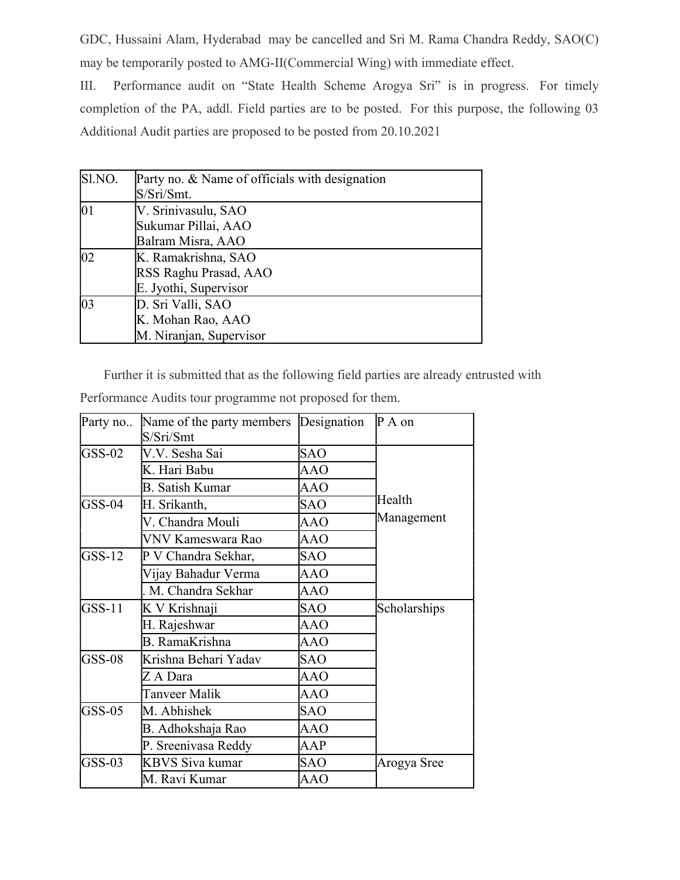GDC, Hussaini Alam, Hyderabad may be cancelled and Sri M. Rama Chandra Reddy, SAO(C) may be temporarily posted to AMG-II(Commercial Wing) with immediate effect.

III. Performance audit on "State Health Scheme Arogya Sri" is in progress. For timely completion of the PA, addl. Field parties are to be posted. For this purpose, the following 03 Additional Audit parties are proposed to be posted from 20.10.2021

| Sl.NO.       | Party no. & Name of officials with designation<br>S/Sri/Smt.          |
|--------------|-----------------------------------------------------------------------|
| 01           | V. Srinivasulu, SAO<br>Sukumar Pillai, AAO<br>Balram Misra, AAO       |
| $ 02\rangle$ | K. Ramakrishna, SAO<br>RSS Raghu Prasad, AAO<br>E. Jyothi, Supervisor |
| 03           | D. Sri Valli, SAO<br>K. Mohan Rao, AAO<br>M. Niranjan, Supervisor     |

Further it is submitted that as the following field parties are already entrusted with

| Party no | Name of the party members Designation P A on<br>S/Sri/Smt |            |              |  |
|----------|-----------------------------------------------------------|------------|--------------|--|
| $GSS-02$ | V.V. Sesha Sai                                            | <b>SAO</b> |              |  |
|          | K. Hari Babu                                              | <b>AAO</b> |              |  |
|          | B. Satish Kumar                                           | AAO        |              |  |
| $GSS-04$ | H. Srikanth,                                              | <b>SAO</b> | Health       |  |
|          | V. Chandra Mouli                                          | <b>AAO</b> | Management   |  |
|          | VNV Kameswara Rao                                         | <b>AAO</b> |              |  |
| $GSS-12$ | P V Chandra Sekhar,                                       | <b>SAO</b> |              |  |
|          | Vijay Bahadur Verma                                       | AAO        |              |  |
|          | M. Chandra Sekhar                                         | <b>AAO</b> |              |  |
| $GSS-11$ | K V Krishnaji                                             | <b>SAO</b> | Scholarships |  |
|          | H. Rajeshwar                                              | AAO        |              |  |
|          | <b>B.</b> RamaKrishna                                     | <b>AAO</b> |              |  |
| $GSS-08$ | Krishna Behari Yadav                                      | <b>SAO</b> |              |  |
|          | Z A Dara                                                  | <b>AAO</b> |              |  |
|          | Tanveer Malik                                             | AAO        |              |  |
| $GSS-05$ | M. Abhishek                                               | <b>SAO</b> |              |  |
|          | B. Adhokshaja Rao                                         | AAO        |              |  |
|          | P. Sreenivasa Reddy                                       | AAP        |              |  |
| $GSS-03$ | <b>KBVS Siva kumar</b>                                    | <b>SAO</b> | Arogya Sree  |  |
|          | M. Ravi Kumar                                             | AAO        |              |  |

Performance Audits tour programme not proposed for them.